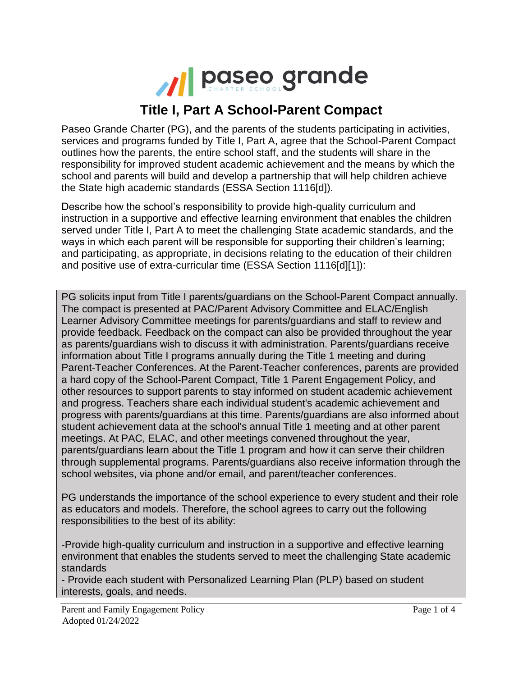

## **Title I, Part A School-Parent Compact**

Paseo Grande Charter (PG), and the parents of the students participating in activities, services and programs funded by Title I, Part A, agree that the School-Parent Compact outlines how the parents, the entire school staff, and the students will share in the responsibility for improved student academic achievement and the means by which the school and parents will build and develop a partnership that will help children achieve the State high academic standards (ESSA Section 1116[d]).

Describe how the school's responsibility to provide high-quality curriculum and instruction in a supportive and effective learning environment that enables the children served under Title I, Part A to meet the challenging State academic standards, and the ways in which each parent will be responsible for supporting their children's learning; and participating, as appropriate, in decisions relating to the education of their children and positive use of extra-curricular time (ESSA Section 1116[d][1]):

PG solicits input from Title I parents/guardians on the School-Parent Compact annually. The compact is presented at PAC/Parent Advisory Committee and ELAC/English Learner Advisory Committee meetings for parents/guardians and staff to review and provide feedback. Feedback on the compact can also be provided throughout the year as parents/guardians wish to discuss it with administration. Parents/guardians receive information about Title I programs annually during the Title 1 meeting and during Parent-Teacher Conferences. At the Parent-Teacher conferences, parents are provided a hard copy of the School-Parent Compact, Title 1 Parent Engagement Policy, and other resources to support parents to stay informed on student academic achievement and progress. Teachers share each individual student's academic achievement and progress with parents/guardians at this time. Parents/guardians are also informed about student achievement data at the school's annual Title 1 meeting and at other parent meetings. At PAC, ELAC, and other meetings convened throughout the year, parents/guardians learn about the Title 1 program and how it can serve their children through supplemental programs. Parents/guardians also receive information through the school websites, via phone and/or email, and parent/teacher conferences.

PG understands the importance of the school experience to every student and their role as educators and models. Therefore, the school agrees to carry out the following responsibilities to the best of its ability:

-Provide high-quality curriculum and instruction in a supportive and effective learning environment that enables the students served to meet the challenging State academic standards

- Provide each student with Personalized Learning Plan (PLP) based on student interests, goals, and needs.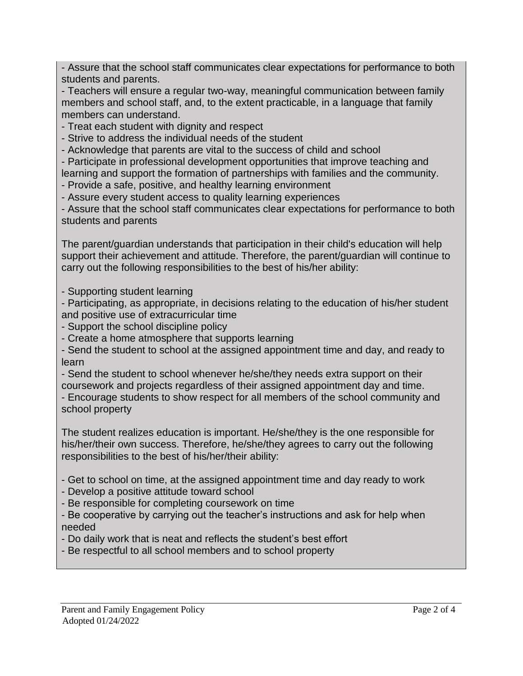- Assure that the school staff communicates clear expectations for performance to both students and parents.

- Teachers will ensure a regular two-way, meaningful communication between family members and school staff, and, to the extent practicable, in a language that family members can understand.

- Treat each student with dignity and respect

- Strive to address the individual needs of the student

- Acknowledge that parents are vital to the success of child and school

- Participate in professional development opportunities that improve teaching and learning and support the formation of partnerships with families and the community.

- Provide a safe, positive, and healthy learning environment

- Assure every student access to quality learning experiences

- Assure that the school staff communicates clear expectations for performance to both students and parents

The parent/guardian understands that participation in their child's education will help support their achievement and attitude. Therefore, the parent/guardian will continue to carry out the following responsibilities to the best of his/her ability:

- Supporting student learning

- Participating, as appropriate, in decisions relating to the education of his/her student and positive use of extracurricular time

- Support the school discipline policy

- Create a home atmosphere that supports learning

- Send the student to school at the assigned appointment time and day, and ready to learn

- Send the student to school whenever he/she/they needs extra support on their coursework and projects regardless of their assigned appointment day and time.

- Encourage students to show respect for all members of the school community and school property

The student realizes education is important. He/she/they is the one responsible for his/her/their own success. Therefore, he/she/they agrees to carry out the following responsibilities to the best of his/her/their ability:

- Get to school on time, at the assigned appointment time and day ready to work

- Develop a positive attitude toward school
- Be responsible for completing coursework on time
- Be cooperative by carrying out the teacher's instructions and ask for help when needed
- Do daily work that is neat and reflects the student's best effort
- Be respectful to all school members and to school property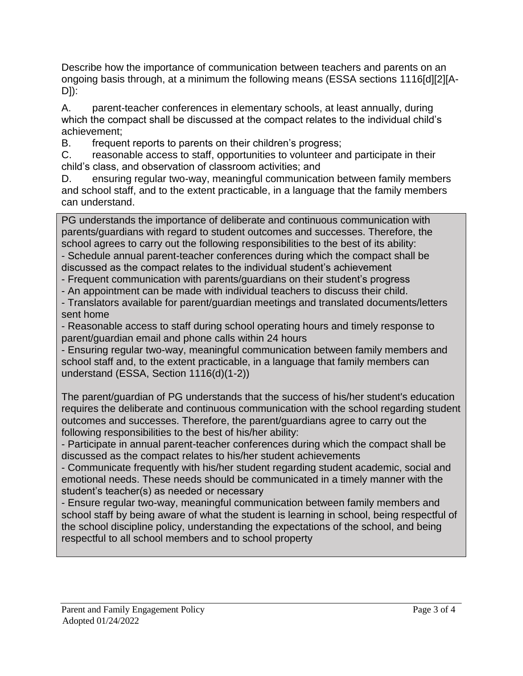Describe how the importance of communication between teachers and parents on an ongoing basis through, at a minimum the following means (ESSA sections 1116[d][2][A-D]):

A. parent-teacher conferences in elementary schools, at least annually, during which the compact shall be discussed at the compact relates to the individual child's achievement;

B. frequent reports to parents on their children's progress;

C. reasonable access to staff, opportunities to volunteer and participate in their child's class, and observation of classroom activities; and

D. ensuring regular two-way, meaningful communication between family members and school staff, and to the extent practicable, in a language that the family members can understand.

PG understands the importance of deliberate and continuous communication with parents/guardians with regard to student outcomes and successes. Therefore, the school agrees to carry out the following responsibilities to the best of its ability: - Schedule annual parent-teacher conferences during which the compact shall be discussed as the compact relates to the individual student's achievement

- Frequent communication with parents/guardians on their student's progress

- An appointment can be made with individual teachers to discuss their child.

- Translators available for parent/guardian meetings and translated documents/letters sent home

- Reasonable access to staff during school operating hours and timely response to parent/guardian email and phone calls within 24 hours

- Ensuring regular two-way, meaningful communication between family members and school staff and, to the extent practicable, in a language that family members can understand (ESSA, Section 1116(d)(1-2))

The parent/guardian of PG understands that the success of his/her student's education requires the deliberate and continuous communication with the school regarding student outcomes and successes. Therefore, the parent/guardians agree to carry out the following responsibilities to the best of his/her ability:

- Participate in annual parent-teacher conferences during which the compact shall be discussed as the compact relates to his/her student achievements

- Communicate frequently with his/her student regarding student academic, social and emotional needs. These needs should be communicated in a timely manner with the student's teacher(s) as needed or necessary

- Ensure regular two-way, meaningful communication between family members and school staff by being aware of what the student is learning in school, being respectful of the school discipline policy, understanding the expectations of the school, and being respectful to all school members and to school property